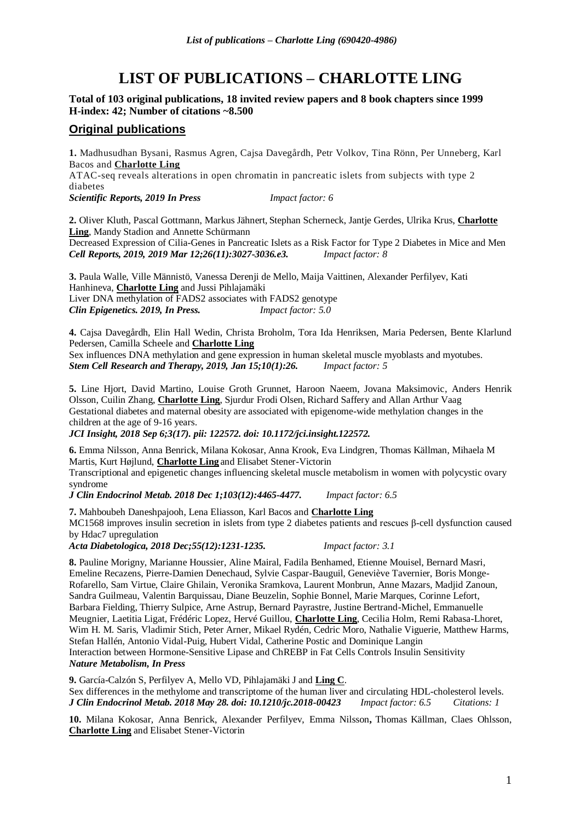# **LIST OF PUBLICATIONS – CHARLOTTE LING**

# **Total of 103 original publications, 18 invited review papers and 8 book chapters since 1999 H-index: 42; Number of citations ~8.500**

# **Original publications**

**1.** Madhusudhan Bysani, Rasmus Agren, Cajsa Davegårdh, Petr Volkov, Tina Rönn, Per Unneberg, Karl Bacos and **Charlotte Ling** ATAC-seq reveals alterations in open chromatin in pancreatic islets from subjects with type 2 diabetes

*Scientific Reports, 2019 In Press Impact factor: 6*

**2.** Oliver Kluth, Pascal Gottmann, Markus Jähnert, Stephan Scherneck, Jantje Gerdes, Ulrika Krus, **Charlotte Ling**, Mandy Stadion and Annette Schürmann

Decreased Expression of Cilia-Genes in Pancreatic Islets as a Risk Factor for Type 2 Diabetes in Mice and Men *Cell Reports, 2019, 2019 Mar 12;26(11):3027-3036.e3. Impact factor: 8*

**3.** Paula Walle, Ville Männistö, Vanessa Derenji de Mello, Maija Vaittinen, Alexander Perfilyev, Kati Hanhineva, **Charlotte Ling** and Jussi Pihlajamäki Liver DNA methylation of FADS2 associates with FADS2 genotype *Clin Epigenetics. 2019, In Press. Impact factor: 5.0*

**4.** Cajsa Davegårdh, Elin Hall Wedin, Christa Broholm, Tora Ida Henriksen, Maria Pedersen, Bente Klarlund Pedersen, Camilla Scheele and **Charlotte Ling**

Sex influences DNA methylation and gene expression in human skeletal muscle myoblasts and myotubes. *Stem Cell Research and Therapy, 2019, Jan 15;10(1):26. Impact factor: 5*

**5.** Line Hjort, David Martino, Louise Groth Grunnet, Haroon Naeem, Jovana Maksimovic, Anders Henrik Olsson, Cuilin Zhang, **Charlotte Ling**, Sjurdur Frodi Olsen, Richard Saffery and Allan Arthur Vaag Gestational diabetes and maternal obesity are associated with epigenome-wide methylation changes in the children at the age of 9-16 years.

*JCI Insight, 2018 Sep 6;3(17). pii: 122572. doi: 10.1172/jci.insight.122572.*

**6.** Emma Nilsson, Anna Benrick, Milana Kokosar, Anna Krook, Eva Lindgren, Thomas Källman, Mihaela M Martis, Kurt Højlund, **Charlotte Ling** and Elisabet Stener-Victorin

Transcriptional and epigenetic changes influencing skeletal muscle metabolism in women with polycystic ovary syndrome

*J Clin Endocrinol Metab. 2018 Dec 1;103(12):4465-4477. Impact factor: 6.5*

**7.** Mahboubeh Daneshpajooh, Lena Eliasson, Karl Bacos and **Charlotte Ling** MC1568 improves insulin secretion in islets from type 2 diabetes patients and rescues β-cell dysfunction caused by Hdac7 upregulation

*Acta Diabetologica, 2018 Dec;55(12):1231-1235. Impact factor: 3.1*

**8.** Pauline Morigny, Marianne Houssier, Aline Mairal, Fadila Benhamed, Etienne Mouisel, Bernard Masri, Emeline Recazens, Pierre-Damien Denechaud, Sylvie Caspar-Bauguil, Geneviève Tavernier, Boris Monge-Rofarello, Sam Virtue, Claire Ghilain, Veronika Sramkova, Laurent Monbrun, Anne Mazars, Madjid Zanoun, Sandra Guilmeau, Valentin Barquissau, Diane Beuzelin, Sophie Bonnel, Marie Marques, Corinne Lefort, Barbara Fielding, Thierry Sulpice, Arne Astrup, Bernard Payrastre, Justine Bertrand-Michel, Emmanuelle Meugnier, Laetitia Ligat, Frédéric Lopez, Hervé Guillou, **Charlotte Ling**, Cecilia Holm, Remi Rabasa-Lhoret, Wim H. M. Saris, Vladimir Stich, Peter Arner, Mikael Rydén, Cedric Moro, Nathalie Viguerie, Matthew Harms, Stefan Hallén, Antonio Vidal-Puig, Hubert Vidal, Catherine Postic and Dominique Langin Interaction between Hormone-Sensitive Lipase and ChREBP in Fat Cells Controls Insulin Sensitivity *Nature Metabolism, In Press*

**9.** García-Calzón S, Perfilyev A, Mello VD, Pihlajamäki J and **Ling C**. [Sex differences in the methylome and transcriptome of the human liver and circulating HDL-cholesterol levels.](https://www.ncbi.nlm.nih.gov/pubmed/29846646) *J Clin Endocrinol Metab. 2018 May 28. doi: 10.1210/jc.2018-00423 Impact factor: 6.5 Citations: 1*

**10.** Milana Kokosar, Anna Benrick, Alexander Perfilyev, Emma Nilsson**,** Thomas Källman, Claes Ohlsson, **Charlotte Ling** and Elisabet Stener-Victorin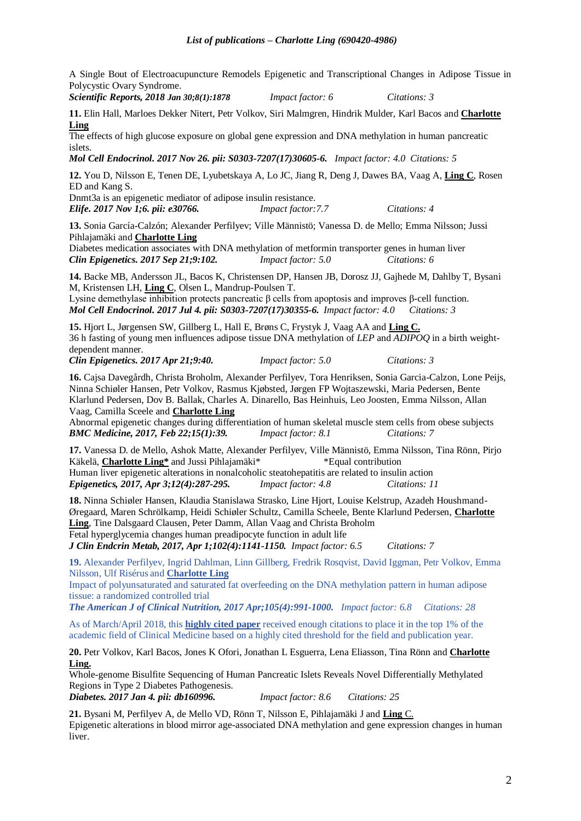A Single Bout of Electroacupuncture Remodels Epigenetic and Transcriptional Changes in Adipose Tissue in Polycystic Ovary Syndrome.

*Scientific Reports, 2018 Jan 30;8(1):1878 Impact factor: 6 Citations: 3*

**11.** Elin Hall, Marloes Dekker Nitert, Petr Volkov, Siri Malmgren, Hindrik Mulder, Karl Bacos and **Charlotte Ling**

[The effects of high glucose exposure on global gene expression and DNA methylation in human pancreatic](https://www.ncbi.nlm.nih.gov/pubmed/29183809)  [islets.](https://www.ncbi.nlm.nih.gov/pubmed/29183809)

*Mol Cell Endocrinol. 2017 Nov 26. pii: S0303-7207(17)30605-6. Impact factor: 4.0 Citations: 5*

**12.** You D, Nilsson E, Tenen DE, Lyubetskaya A, Lo JC, Jiang R, Deng J, Dawes BA, Vaag A, **Ling C**, Rosen ED and Kang S.

[Dnmt3a is an epigenetic mediator of adipose insulin resistance.](https://www.ncbi.nlm.nih.gov/pubmed/29091029) *Elife. 2017 Nov 1;6. pii: e30766. Impact factor:7.7 Citations: 4*

**13.** Sonia García-Calzón; Alexander Perfilyev; Ville Männistö; Vanessa D. de Mello; Emma Nilsson; Jussi Pihlajamäki and **Charlotte Ling**

Diabetes medication associates with DNA methylation of metformin transporter genes in human liver *Clin Epigenetics. 2017 Sep 21;9:102. Impact factor: 5.0 Citations: 6*

**14.** Backe MB, Andersson JL, Bacos K, Christensen DP, Hansen JB, Dorosz JJ, Gajhede M, Dahlby T, Bysani M, Kristensen LH, **Ling C**, Olsen L, Mandrup-Poulsen T.

[Lysine demethylase inhibition protects pancreatic β cells from apoptosis and](https://www.ncbi.nlm.nih.gov/pubmed/28684291) improves β-cell function. *Mol Cell Endocrinol. 2017 Jul 4. pii: S0303-7207(17)30355-6. Impact factor: 4.0 Citations: 3*

**15.** Hjort L, Jørgensen SW, Gillberg L, Hall E, Brøns C, Frystyk J, Vaag AA and **Ling C.** 36 [h fasting of young men influences adipose tissue DNA methylation of](https://www.ncbi.nlm.nih.gov/pubmed/28439315) *LEP* and *ADIPOQ* in a birth weight[dependent manner.](https://www.ncbi.nlm.nih.gov/pubmed/28439315)

*Clin Epigenetics. 2017 Apr 21;9:40. Impact factor: 5.0 Citations: 3*

**16.** Cajsa Davegårdh, Christa Broholm, Alexander Perfilyev, Tora Henriksen, Sonia Garcia-Calzon, Lone Peijs, Ninna Schiøler Hansen, Petr Volkov, Rasmus Kjøbsted, Jørgen FP Wojtaszewski, Maria Pedersen, Bente Klarlund Pedersen, Dov B. Ballak, Charles A. Dinarello, Bas Heinhuis, Leo Joosten, Emma Nilsson, Allan Vaag, Camilla Sceele and **Charlotte Ling**

Abnormal epigenetic changes during differentiation of human skeletal muscle stem cells from obese subjects *BMC Medicine, 2017, Feb 22;15(1):39. Impact factor: 8.1 Citations: 7*

**17.** Vanessa D. de Mello, Ashok Matte, Alexander Perfilyev, Ville Männistö, Emma Nilsson, Tina Rönn, Pirjo Käkelä, **Charlotte Ling\*** and Jussi Pihlajamäki\* \* Fqual contribution Human liver epigenetic alterations in nonalcoholic steatohepatitis are related to insulin action *Epigenetics, 2017, Apr 3;12(4):287-295. Impact factor: 4.8 Citations: 11*

**18.** Ninna Schiøler Hansen, Klaudia Stanislawa Strasko, Line Hjort, Louise Kelstrup, Azadeh Houshmand-Øregaard, Maren Schrölkamp, Heidi Schiøler Schultz, Camilla Scheele, Bente Klarlund Pedersen, **Charlotte Ling**, Tine Dalsgaard Clausen, Peter Damm, Allan Vaag and Christa Broholm Fetal hyperglycemia changes human preadipocyte function in adult life

*J Clin Endcrin Metab, 2017, Apr 1;102(4):1141-1150. Impact factor: 6.5 Citations: 7*

**19.** Alexander Perfilyev, Ingrid Dahlman, Linn Gillberg, Fredrik Rosqvist, David Iggman, Petr Volkov, Emma Nilsson, Ulf Risérus and **Charlotte Ling**

Impact of polyunsaturated and saturated fat overfeeding on the DNA methylation pattern in human adipose tissue: a randomized controlled trial

*The American J of Clinical Nutrition, 2017 Apr;105(4):991-1000. Impact factor: 6.8 Citations: 28*

As of March/April 2018, this **[highly cited paper](javascript:;)** received enough citations to place it in the top 1% of the academic field of Clinical Medicine based on a highly cited threshold for the field and publication year.

**20.** Petr Volkov, Karl Bacos, Jones K Ofori, Jonathan L Esguerra, Lena Eliasson, Tina Rönn and **Charlotte Ling.**

[Whole-genome Bisulfite Sequencing of Human Pancreatic Islets Reveals Novel Differentially Methylated](https://www.ncbi.nlm.nih.gov/pubmed/28052964)  [Regions in Type 2 Diabetes Pathogenesis.](https://www.ncbi.nlm.nih.gov/pubmed/28052964)

*Diabetes. 2017 Jan 4. pii: db160996. Impact factor: 8.6 Citations: 25*

**21.** Bysani M, Perfilyev A, de Mello VD, Rönn T, Nilsson E, Pihlajamäki J and **Ling** C. [Epigenetic alterations in blood mirror age-associated DNA methylation and gene expression changes in human](https://www.ncbi.nlm.nih.gov/pubmed/27911095)  [liver.](https://www.ncbi.nlm.nih.gov/pubmed/27911095)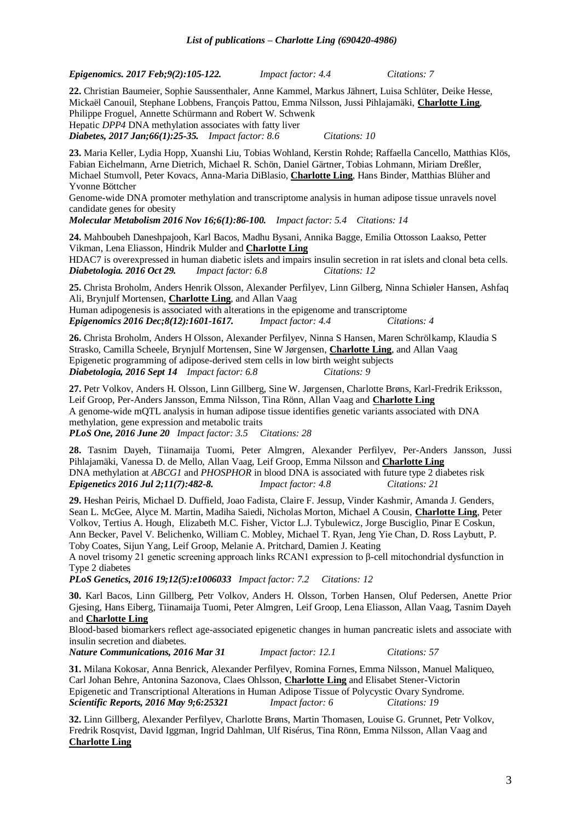*Epigenomics. 2017 Feb;9(2):105-122. Impact factor: 4.4 Citations: 7*

**22.** Christian Baumeier, Sophie Saussenthaler, Anne Kammel, Markus Jähnert, Luisa Schlüter, Deike Hesse, Mickaël Canouil, Stephane Lobbens, François Pattou, Emma Nilsson, Jussi Pihlajamäki, **Charlotte Ling**, Philippe Froguel, Annette Schürmann and Robert W. Schwenk Hepatic *DPP4* DNA methylation associates with fatty liver

*Diabetes, 2017 Jan;66(1):25-35. Impact factor: 8.6 Citations: 10*

**23.** Maria Keller, Lydia Hopp, Xuanshi Liu, Tobias Wohland, Kerstin Rohde; Raffaella Cancello, Matthias Klös, Fabian Eichelmann, Arne Dietrich, Michael R. Schön, Daniel Gärtner, Tobias Lohmann, Miriam Dreßler, Michael Stumvoll, Peter Kovacs, Anna-Maria DiBlasio, **Charlotte Ling**, Hans Binder, Matthias Blüher and Yvonne Böttcher

Genome-wide DNA promoter methylation and transcriptome analysis in human adipose tissue unravels novel candidate genes for obesity

*Molecular Metabolism 2016 Nov 16;6(1):86-100. Impact factor: 5.4 Citations: 14*

**24.** Mahboubeh Daneshpajooh, Karl Bacos, Madhu Bysani, Annika Bagge, Emilia Ottosson Laakso, Petter Vikman, Lena Eliasson, Hindrik Mulder and **Charlotte Ling**

[HDAC7 is overexpressed in human diabetic islets and impairs insulin secretion in rat islets and clonal beta cells.](https://www.ncbi.nlm.nih.gov/pubmed/27796421) *Diabetologia. 2016 Oct 29. Impact factor: 6.8 Citations: 12*

**25.** Christa Broholm, Anders Henrik Olsson, Alexander Perfilyev, Linn Gilberg, Ninna Schiøler Hansen, Ashfaq Ali, Brynjulf Mortensen, **Charlotte Ling**, and Allan Vaag

Human adipogenesis is associated with alterations in the epigenome and transcriptome *Epigenomics 2016 Dec;8(12):1601-1617. Impact factor: 4.4 Citations: 4*

**26.** Christa Broholm, Anders H Olsson, Alexander Perfilyev, Ninna S Hansen, Maren Schrölkamp, Klaudia S Strasko, Camilla Scheele, Brynjulf Mortensen, Sine W Jørgensen, **Charlotte Ling**, and Allan Vaag Epigenetic programming of adipose-derived stem cells in low birth weight subjects *Diabetologia, 2016 Sept 14 Impact factor: 6.8 Citations: 9*

**27.** Petr Volkov, Anders H. Olsson, Linn Gillberg, Sine W. Jørgensen, Charlotte Brøns, Karl-Fredrik Eriksson, Leif Groop, Per-Anders Jansson, Emma Nilsson, Tina Rönn, Allan Vaag and **Charlotte Ling** A genome-wide mQTL analysis in human adipose tissue identifies genetic variants associated with DNA methylation, gene expression and metabolic traits

*PLoS One, 2016 June 20 Impact factor: 3.5 Citations: 28*

**28.** Tasnim Dayeh, Tiinamaija Tuomi, Peter Almgren, Alexander Perfilyev, Per-Anders Jansson, Jussi Pihlajamäki, Vanessa D. de Mello, Allan Vaag, Leif Groop, Emma Nilsson and **Charlotte Ling** DNA methylation at *ABCG1* and *PHOSPHOR* in blood DNA is associated with future type 2 diabetes risk *Epigenetics 2016 Jul 2;11(7):482-8. Impact factor: 4.8 Citations: 21*

**29.** Heshan Peiris, Michael D. Duffield, Joao Fadista, Claire F. Jessup, Vinder Kashmir, Amanda J. Genders, Sean L. McGee, Alyce M. Martin, Madiha Saiedi, Nicholas Morton, Michael A Cousin, **Charlotte Ling**, Peter Volkov, Tertius A. Hough, Elizabeth M.C. Fisher, Victor L.J. Tybulewicz, Jorge Busciglio, Pinar E Coskun, Ann Becker, Pavel V. Belichenko, William C. Mobley, Michael T. Ryan, Jeng Yie Chan, D. Ross Laybutt, P. Toby Coates, Sijun Yang, Leif Groop, Melanie A. Pritchard, Damien J. Keating

A novel trisomy 21 genetic screening approach links RCAN1 expression to β-cell mitochondrial dysfunction in Type 2 diabetes

*PLoS Genetics, 2016 19;12(5):e1006033 Impact factor: 7.2 Citations: 12* 

**30.** Karl Bacos, Linn Gillberg, Petr Volkov, Anders H. Olsson, Torben Hansen, Oluf Pedersen, Anette Prior Gjesing, Hans Eiberg, Tiinamaija Tuomi, Peter Almgren, Leif Groop, Lena Eliasson, Allan Vaag, Tasnim Dayeh and **Charlotte Ling**

Blood-based biomarkers reflect age-associated epigenetic changes in human pancreatic islets and associate with insulin secretion and diabetes.

*Nature Communications, 2016 Mar 31 Impact factor: 12.1 Citations: 57*

**31.** Milana Kokosar, Anna Benrick, Alexander Perfilyev, Romina Fornes, Emma Nilsson, Manuel Maliqueo, Carl Johan Behre, Antonina Sazonova, Claes Ohlsson, **Charlotte Ling** and Elisabet Stener-Victorin Epigenetic and Transcriptional Alterations in Human Adipose Tissue of Polycystic Ovary Syndrome. *Scientific Reports, 2016 May 9;6:25321 Impact factor: 6 Citations: 19*

**32.** Linn Gillberg, Alexander Perfilyev, Charlotte Brøns, Martin Thomasen, Louise G. Grunnet, Petr Volkov, Fredrik Rosqvist, David Iggman, Ingrid Dahlman, Ulf Risérus, Tina Rönn, Emma Nilsson, Allan Vaag and **Charlotte Ling**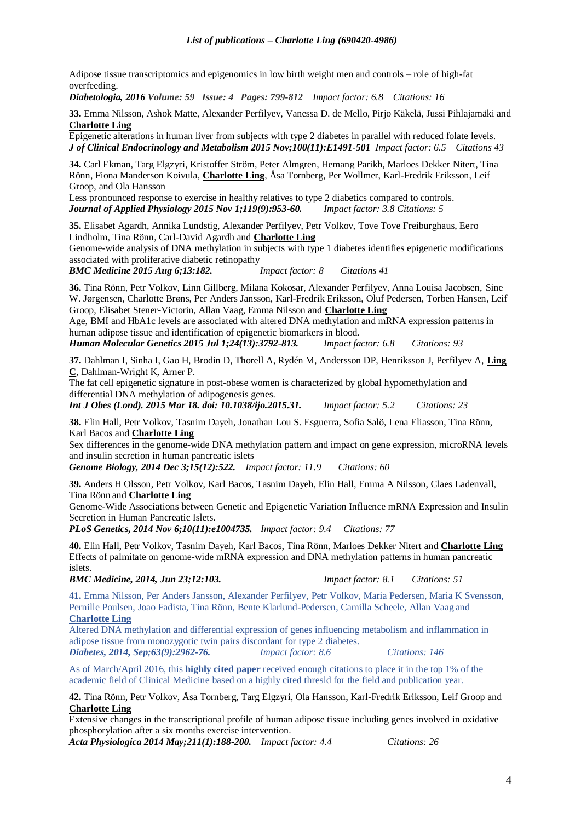Adipose tissue transcriptomics and epigenomics in low birth weight men and controls – role of high-fat overfeeding.

*Diabetologia, 2016 Volume: 59 Issue: 4 Pages: 799-812 Impact factor: 6.8 Citations: 16*

**33.** Emma Nilsson, Ashok Matte, Alexander Perfilyev, Vanessa D. de Mello, Pirjo Käkelä, Jussi Pihlajamäki and **Charlotte Ling**

Epigenetic alterations in human liver from subjects with type 2 diabetes in parallel with reduced folate levels. *J of Clinical Endocrinology and Metabolism 2015 Nov;100(11):E1491-501 Impact factor: 6.5 Citations 43*

**34.** Carl Ekman, Targ Elgzyri, Kristoffer Ström, Peter Almgren, Hemang Parikh, Marloes Dekker Nitert, Tina Rönn, Fiona Manderson Koivula, **Charlotte Ling**, Åsa Tornberg, Per Wollmer, Karl-Fredrik Eriksson, Leif Groop, and Ola Hansson

Less pronounced response to exercise in healthy relatives to type 2 diabetics compared to controls. *Journal of Applied Physiology 2015 Nov 1;119(9):953-60. Impact factor: 3.8 Citations: 5*

**35.** Elisabet Agardh, Annika Lundstig, Alexander Perfilyev, Petr Volkov, Tove Tove Freiburghaus, Eero Lindholm, Tina Rönn, Carl-David Agardh and **Charlotte Ling**

Genome-wide analysis of DNA methylation in subjects with type 1 diabetes identifies epigenetic modifications associated with proliferative diabetic retinopathy

*BMC Medicine 2015 Aug 6;13:182. Impact factor: 8 Citations 41*

**36.** Tina Rönn, Petr Volkov, Linn Gillberg, Milana Kokosar, Alexander Perfilyev, Anna Louisa Jacobsen, Sine W. Jørgensen, Charlotte Brøns, Per Anders Jansson, Karl-Fredrik Eriksson, Oluf Pedersen, Torben Hansen, Leif Groop, Elisabet Stener-Victorin, Allan Vaag, Emma Nilsson and **Charlotte Ling**

Age, BMI and HbA1c levels are associated with altered DNA methylation and mRNA expression patterns in human adipose tissue and identification of epigenetic biomarkers in blood.

*Human Molecular Genetics 2015 Jul 1;24(13):3792-813. Impact factor: 6.8 Citations: 93*

**37.** Dahlman I, Sinha I, Gao H, Brodin D, Thorell A, Rydén M, Andersson DP, Henriksson J, Perfilyev A, **Ling C**, Dahlman-Wright K, Arner P.

[The fat cell epigenetic signature in post-obese women is characterized by global hypomethylation and](http://www.ncbi.nlm.nih.gov/pubmed/25783037)  [differential DNA methylation](http://www.ncbi.nlm.nih.gov/pubmed/25783037) of adipogenesis genes.

*Int J Obes (Lond). 2015 Mar 18. doi: 10.1038/ijo.2015.31. Impact factor: 5.2 Citations: 23*

**38.** Elin Hall, Petr Volkov, Tasnim Dayeh, Jonathan Lou S. Esguerra, Sofia Salö, Lena Eliasson, Tina Rönn, Karl Bacos and **Charlotte Ling**

Sex differences in the genome-wide DNA methylation pattern and impact on gene expression, microRNA levels and insulin secretion in human pancreatic islets

*Genome Biology, 2014 Dec 3;15(12):522. Impact factor: 11.9 Citations: 60*

**39.** Anders H Olsson, Petr Volkov, Karl Bacos, Tasnim Dayeh, Elin Hall, Emma A Nilsson, Claes Ladenvall, Tina Rönn and **Charlotte Ling**

Genome-Wide Associations between Genetic and Epigenetic Variation Influence mRNA Expression and Insulin Secretion in Human Pancreatic Islets.

*PLoS Genetics, 2014 Nov 6;10(11):e1004735. Impact factor: 9.4 Citations: 77*

**40.** Elin Hall, Petr Volkov, Tasnim Dayeh, Karl Bacos, Tina Rönn, Marloes Dekker Nitert and **Charlotte Ling** Effects of palmitate on genome-wide mRNA expression and DNA methylation patterns in human pancreatic islets.

*BMC Medicine, 2014, Jun 23;12:103. Impact factor: 8.1 Citations: 51*

**41.** Emma Nilsson, Per Anders Jansson, Alexander Perfilyev, Petr Volkov, Maria Pedersen, Maria K Svensson, Pernille Poulsen, Joao Fadista, Tina Rönn, Bente Klarlund-Pedersen, Camilla Scheele, Allan Vaag and **Charlotte Ling**

Altered DNA methylation and differential expression of genes influencing metabolism and inflammation in adipose tissue from monozygotic twin pairs discordant for type 2 diabetes. *Diabetes, 2014, Sep;63(9):2962-76. Impact factor: 8.6 Citations: 146* 

As of March/April 2016, this **[highly cited paper](javascript:;)** received enough citations to place it in the top 1% of the academic field of Clinical Medicine based on a highly cited thresld for the field and publication year.

**42.** Tina Rönn, Petr Volkov, Åsa Tornberg, Targ Elgzyri, Ola Hansson, Karl-Fredrik Eriksson, Leif Groop and **Charlotte Ling**

Extensive changes in the transcriptional profile of human adipose tissue including genes involved in oxidative phosphorylation after a six months exercise intervention.

*Acta Physiologica 2014 May;211(1):188-200. Impact factor: 4.4 Citations: 26*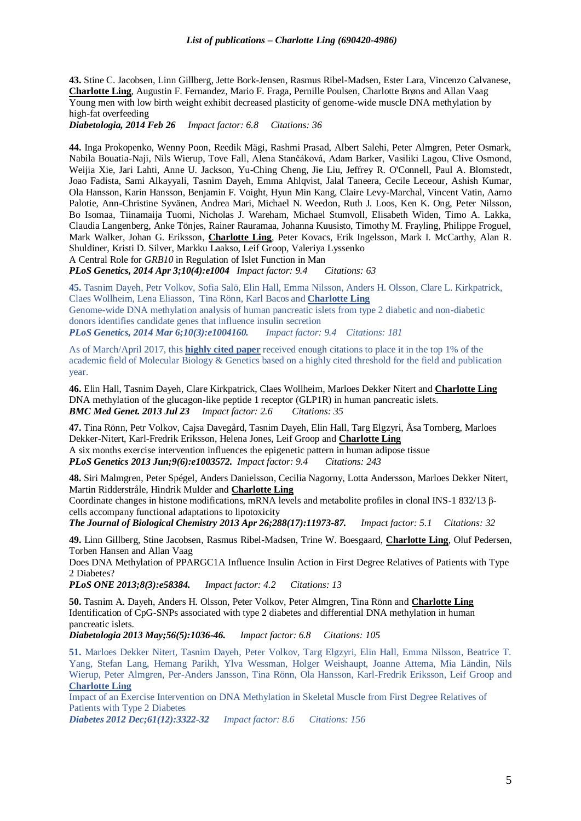**43.** Stine C. Jacobsen, Linn Gillberg, Jette Bork-Jensen, Rasmus Ribel-Madsen, Ester Lara, Vincenzo Calvanese, **Charlotte Ling**, Augustin F. Fernandez, Mario F. Fraga, Pernille Poulsen, Charlotte Brøns and Allan Vaag Young men with low birth weight exhibit decreased plasticity of genome-wide muscle DNA methylation by high-fat overfeeding

*Diabetologia, 2014 Feb 26 Impact factor: 6.8 Citations: 36*

**44.** Inga Prokopenko, Wenny Poon, Reedik Mägi, Rashmi Prasad, Albert Salehi, Peter Almgren, Peter Osmark, Nabila Bouatia-Naji, Nils Wierup, Tove Fall, Alena Stančáková, Adam Barker, Vasiliki Lagou, Clive Osmond, Weijia Xie, Jari Lahti, Anne U. Jackson, Yu-Ching Cheng, Jie Liu, Jeffrey R. O'Connell, Paul A. Blomstedt, Joao Fadista, Sami Alkayyali, Tasnim Dayeh, Emma Ahlqvist, Jalal Taneera, Cecile Leceour, Ashish Kumar, Ola Hansson, Karin Hansson, Benjamin F. Voight, Hyun Min Kang, Claire Levy-Marchal, Vincent Vatin, Aarno Palotie, Ann-Christine Syvänen, Andrea Mari, Michael N. Weedon, Ruth J. Loos, Ken K. Ong, Peter Nilsson, Bo Isomaa, Tiinamaija Tuomi, Nicholas J. Wareham, Michael Stumvoll, Elisabeth Widen, Timo A. Lakka, Claudia Langenberg, Anke Tönjes, Rainer Rauramaa, Johanna Kuusisto, Timothy M. Frayling, Philippe Froguel, Mark Walker, Johan G. Eriksson, **Charlotte Ling**, Peter Kovacs, Erik Ingelsson, Mark I. McCarthy, Alan R. Shuldiner, Kristi D. Silver, Markku Laakso, Leif Groop, Valeriya Lyssenko

A Central Role for *GRB10* in Regulation of Islet Function in Man

*PLoS Genetics, 2014 Apr 3;10(4):e1004 Impact factor: 9.4 Citations: 63*

**45.** Tasnim Dayeh, Petr Volkov, Sofia Salö, Elin Hall, Emma Nilsson, Anders H. Olsson, Clare L. Kirkpatrick, Claes Wollheim, Lena Eliasson, Tina Rönn, Karl Bacos and **Charlotte Ling** Genome-wide DNA methylation analysis of human pancreatic islets from type 2 diabetic and non-diabetic donors identifies candidate genes that influence insulin secretion *PLoS Genetics, 2014 Mar 6;10(3):e1004160. Impact factor: 9.4 Citations: 181*

As of March/April 2017, this **[highly cited paper](javascript:;)** received enough citations to place it in the top 1% of the academic field of Molecular Biology & Genetics based on a highly cited threshold for the field and publication year.

**46.** Elin Hall, Tasnim Dayeh, Clare Kirkpatrick, Claes Wollheim, Marloes Dekker Nitert and **Charlotte Ling** [DNA methylation of the glucagon-like peptide 1 receptor \(GLP1R\) in human pancreatic islets.](http://www.ncbi.nlm.nih.gov/pubmed/23879380) *BMC Med Genet. 2013 Jul 23 Impact factor: 2.6 Citations: 35*

**47.** Tina Rönn, Petr Volkov, Cajsa Davegård, Tasnim Dayeh, Elin Hall, Targ Elgzyri, Åsa Tornberg, Marloes Dekker-Nitert, Karl-Fredrik Eriksson, Helena Jones, Leif Groop and **Charlotte Ling** A six months exercise intervention influences the epigenetic pattern in human adipose tissue *PLoS Genetics 2013 Jun;9(6):e1003572. Impact factor: 9.4 Citations: 243*

**48.** Siri Malmgren, Peter Spégel, Anders Danielsson, Cecilia Nagorny, Lotta Andersson, Marloes Dekker Nitert, Martin Ridderstråle, Hindrik Mulder and **Charlotte Ling**

Coordinate changes in histone modifications, mRNA levels and metabolite profiles in clonal INS-1 832/13 βcells accompany functional adaptations to lipotoxicity

*The Journal of Biological Chemistry 2013 Apr 26;288(17):11973-87. Impact factor: 5.1 Citations: 32*

**49.** Linn Gillberg, Stine Jacobsen, Rasmus Ribel-Madsen, Trine W. Boesgaard, **Charlotte Ling**, Oluf Pedersen, Torben Hansen and Allan Vaag

Does DNA Methylation of PPARGC1A Influence Insulin Action in First Degree Relatives of Patients with Type 2 Diabetes?

*PLoS ONE 2013;8(3):e58384. Impact factor: 4.2 Citations: 13*

**50.** Tasnim A. Dayeh, Anders H. Olsson, Peter Volkov, Peter Almgren, Tina Rönn and **Charlotte Ling** Identification of CpG-SNPs associated with type 2 diabetes and differential DNA methylation in human pancreatic islets.

*Diabetologia 2013 May;56(5):1036-46. Impact factor: 6.8 Citations: 105*

**51.** Marloes Dekker Nitert, Tasnim Dayeh, Peter Volkov, Targ Elgzyri, Elin Hall, Emma Nilsson, Beatrice T. Yang, Stefan Lang, Hemang Parikh, Ylva Wessman, Holger Weishaupt, Joanne Attema, Mia Ländin, Nils Wierup, Peter Almgren, Per-Anders Jansson, Tina Rönn, Ola Hansson, Karl-Fredrik Eriksson, Leif Groop and **Charlotte Ling**

Impact of an Exercise Intervention on DNA Methylation in Skeletal Muscle from First Degree Relatives of Patients with Type 2 Diabetes

*Diabetes 2012 Dec;61(12):3322-32 Impact factor: 8.6 Citations: 156*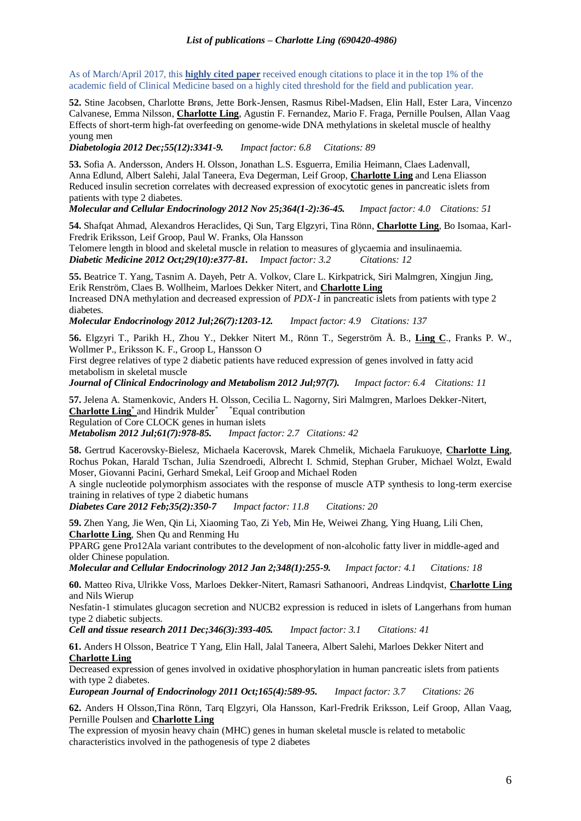As of March/April 2017, this **[highly cited paper](javascript:;)** received enough citations to place it in the top 1% of the academic field of Clinical Medicine based on a highly cited threshold for the field and publication year.

**52.** Stine Jacobsen, Charlotte Brøns, Jette Bork-Jensen, Rasmus Ribel-Madsen, Elin Hall, Ester Lara, Vincenzo Calvanese, Emma Nilsson, **Charlotte Ling**, Agustin F. Fernandez, Mario F. Fraga, Pernille Poulsen, Allan Vaag Effects of short-term high-fat overfeeding on genome-wide DNA methylations in skeletal muscle of healthy young men

*Diabetologia 2012 Dec;55(12):3341-9. Impact factor: 6.8 Citations: 89*

**53.** Sofia A. Andersson, Anders H. Olsson, Jonathan L.S. Esguerra, Emilia Heimann, Claes Ladenvall, Anna Edlund, Albert Salehi, Jalal Taneera, Eva Degerman, Leif Groop, **Charlotte Ling** and Lena Eliasson Reduced insulin secretion correlates with decreased expression of exocytotic genes in pancreatic islets from patients with type 2 diabetes.

*Molecular and Cellular Endocrinology 2012 Nov 25;364(1-2):36-45. Impact factor: 4.0 Citations: 51*

**54.** Shafqat Ahmad, Alexandros Heraclides, Qi Sun, Targ Elgzyri, Tina Rönn, **Charlotte Ling**, Bo Isomaa, Karl-Fredrik Eriksson, Leif Groop, Paul W. Franks, Ola Hansson

Telomere length in blood and skeletal muscle in relation to measures of glycaemia and insulinaemia. *Diabetic Medicine 2012 Oct;29(10):e377-81. Impact factor: 3.2 Citations: 12*

**55.** Beatrice T. Yang, Tasnim A. Dayeh, Petr A. Volkov, Clare L. Kirkpatrick, Siri Malmgren, Xingjun Jing, Erik Renström, Claes B. Wollheim, Marloes Dekker Nitert, and **Charlotte Ling** Increased DNA methylation and decreased expression of *PDX-1* in pancreatic islets from patients with type 2 diabetes.

*Molecular Endocrinology 2012 Jul;26(7):1203-12. Impact factor: 4.9 Citations: 137*

**56.** Elgzyri T., Parikh H., Zhou Y., Dekker Nitert M., Rönn T., Segerström Å. B., **Ling C**., Franks P. W., Wollmer P., Eriksson K. F., Groop L, Hansson O

First degree relatives of type 2 diabetic patients have reduced expression of genes involved in fatty acid metabolism in skeletal muscle

*Journal of Clinical Endocrinology and Metabolism 2012 Jul;97(7). Impact factor: 6.4 Citations: 11*

57. Jelena A. Stamenkovic, Anders H. Olsson, Cecilia L. Nagorny, Siri Malmgren, Marloes Dekker-Nitert, Charlotte Ling<sup>\*</sup> and Hindrik Mulder<sup>\*</sup> <sup>\*</sup> Equal contribution **Charlotte Ling**\* and Hindrik Mulder\* \*Equal contribution Regulation of Core CLOCK genes in human islets

*Metabolism 2012 Jul;61(7):978-85. Impact factor: 2.7 Citations: 42*

**58.** Gertrud Kacerovsky-Bielesz, Michaela Kacerovsk, Marek Chmelik, Michaela Farukuoye, **Charlotte Ling**, Rochus Pokan, Harald Tschan, Julia Szendroedi, Albrecht I. Schmid, Stephan Gruber, Michael Wolzt, Ewald Moser, Giovanni Pacini, Gerhard Smekal, Leif Groop and Michael Roden

A single nucleotide polymorphism associates with the response of muscle ATP synthesis to long-term exercise training in relatives of type 2 diabetic humans

*Diabetes Care 2012 Feb;35(2):350-7 Impact factor: 11.8 Citations: 20*

**59.** Zhen Yang, Jie Wen, Qin Li, Xiaoming Tao, Zi Yeb, Min He, Weiwei Zhang, Ying Huang, Lili Chen, **Charlotte Ling**, Shen Qu and Renming Hu

PPARG gene Pro12Ala variant contributes to the development of non-alcoholic fatty liver in middle-aged and older Chinese population.

*Molecular and Cellular Endocrinology 2012 Jan 2;348(1):255-9. Impact factor: 4.1 Citations: 18*

**60.** Matteo Riva, Ulrikke Voss, Marloes Dekker-Nitert, Ramasri Sathanoori, Andreas Lindqvist, **Charlotte Ling** and Nils Wierup

Nesfatin-1 stimulates glucagon secretion and NUCB2 expression is reduced in islets of Langerhans from human type 2 diabetic subjects.

*Cell and tissue research 2011 Dec;346(3):393-405. Impact factor: 3.1 Citations: 41*

**61.** Anders H Olsson, Beatrice T Yang, Elin Hall, Jalal Taneera, Albert Salehi, Marloes Dekker Nitert and **Charlotte Ling**

[Decreased expression of genes involved in oxidative phosphorylation in human pancreatic islets from patients](http://www.ncbi.nlm.nih.gov/pubmed/21775499)  [with type 2 diabetes.](http://www.ncbi.nlm.nih.gov/pubmed/21775499)

*European Journal of Endocrinology 2011 Oct;165(4):589-95. Impact factor: 3.7 Citations: 26*

**62.** Anders H Olsson,Tina Rönn, Tarq Elgzyri, Ola Hansson, Karl-Fredrik Eriksson, Leif Groop, Allan Vaag, Pernille Poulsen and **Charlotte Ling**

The expression of myosin heavy chain (MHC) genes in human skeletal muscle is related to metabolic characteristics involved in the pathogenesis of type 2 diabetes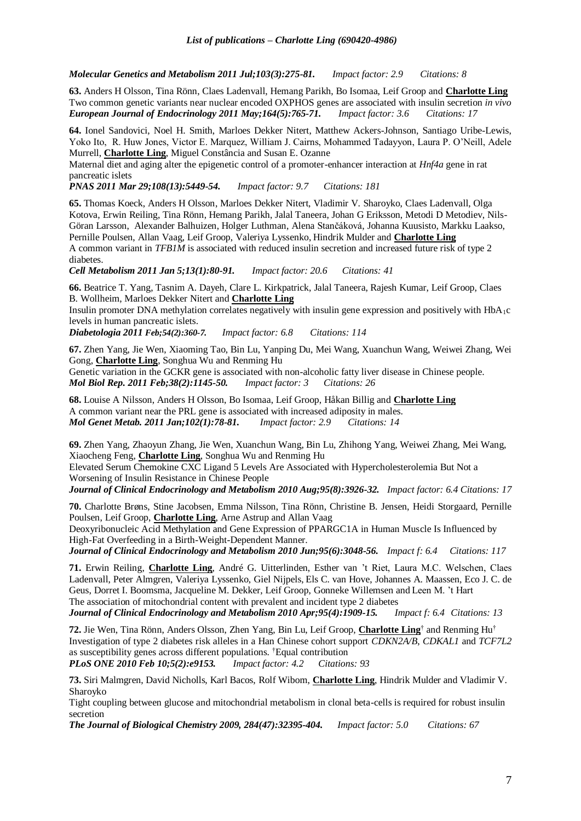*Molecular Genetics and Metabolism 2011 Jul;103(3):275-81. Impact factor: 2.9 Citations: 8*

**63.** Anders H Olsson, Tina Rönn, Claes Ladenvall, Hemang Parikh, Bo Isomaa, Leif Groop and **Charlotte Ling** Two common genetic variants near nuclear encoded OXPHOS genes are associated with insulin secretion *in vivo European Journal of Endocrinology 2011 May;164(5):765-71. Impact factor: 3.6 Citations: 17*

**64.** Ionel Sandovici, Noel H. Smith, Marloes Dekker Nitert, Matthew Ackers-Johnson, Santiago Uribe-Lewis, Yoko Ito, R. Huw Jones, Victor E. Marquez, William J. Cairns, Mohammed Tadayyon, Laura P. O'Neill, Adele Murrell, **Charlotte Ling**, Miguel Constância and Susan E. Ozanne

Maternal diet and aging alter the epigenetic control of a promoter-enhancer interaction at *Hnf4a* gene in rat pancreatic islets

*PNAS 2011 Mar 29;108(13):5449-54. Impact factor: 9.7 Citations: 181*

**65.** Thomas Koeck, Anders H Olsson, Marloes Dekker Nitert, Vladimir V. Sharoyko, Claes Ladenvall, Olga Kotova, Erwin Reiling, Tina Rönn, Hemang Parikh, Jalal Taneera, Johan G Eriksson, Metodi D Metodiev, Nils-Göran Larsson, Alexander Balhuizen, Holger Luthman, Alena Stančáková, Johanna Kuusisto, Markku Laakso, Pernille Poulsen, Allan Vaag, Leif Groop, Valeriya Lyssenko, Hindrik Mulder and **Charlotte Ling** A common variant in *TFB1M* is associated with reduced insulin secretion and increased future risk of type 2 diabetes.

*Cell Metabolism 2011 Jan 5;13(1):80-91. Impact factor: 20.6 Citations: 41*

**66.** Beatrice T. Yang, Tasnim A. Dayeh, Clare L. Kirkpatrick, Jalal Taneera, Rajesh Kumar, Leif Groop, Claes B. Wollheim, Marloes Dekker Nitert and **Charlotte Ling**

Insulin promoter DNA methylation correlates negatively with insulin gene expression and positively with HbA1c levels in human pancreatic islets.

*Diabetologia 2011 Feb;54(2):360-7. Impact factor: 6.8 Citations: 114*

**67.** Zhen Yang, Jie Wen, Xiaoming Tao, Bin Lu, Yanping Du, Mei Wang, Xuanchun Wang, Weiwei Zhang, Wei Gong, **Charlotte Ling**, Songhua Wu and Renming Hu

Genetic variation in the GCKR gene is associated with non-alcoholic fatty liver disease in Chinese people. *Mol Biol Rep. 2011 Feb;38(2):1145-50. Impact factor: 3 Citations: 26*

**68.** Louise A Nilsson, Anders H Olsson, Bo Isomaa, Leif Groop, Håkan Billig and **Charlotte Ling** A common variant near the PRL gene is associated with increased adiposity in males. *Mol Genet Metab. 2011 Jan;102(1):78-81. Impact factor: 2.9 Citations: 14*

**69.** Zhen Yang, Zhaoyun Zhang, Jie Wen, Xuanchun Wang, Bin Lu, Zhihong Yang, Weiwei Zhang, Mei Wang, Xiaocheng Feng, **Charlotte Ling**, Songhua Wu and Renming Hu

Elevated Serum Chemokine CXC Ligand 5 Levels Are Associated with Hypercholesterolemia But Not a Worsening of Insulin Resistance in Chinese People

*Journal of Clinical Endocrinology and Metabolism 2010 Aug;95(8):3926-32. Impact factor: 6.4 Citations: 17*

**70.** Charlotte Brøns, Stine Jacobsen, Emma Nilsson, Tina Rönn, Christine B. Jensen, Heidi Storgaard, Pernille Poulsen, Leif Groop, **Charlotte Ling**, Arne Astrup and Allan Vaag

[Deoxyribonucleic Acid Methylation and Gene Expression of PPARGC1A in Human Muscle Is Influenced by](http://www.ncbi.nlm.nih.gov/pubmed/20410232)  [High-Fat Overfeeding in a Birth-Weight-Dependent Manner.](http://www.ncbi.nlm.nih.gov/pubmed/20410232)

*Journal of Clinical Endocrinology and Metabolism 2010 Jun;95(6):3048-56. Impact f: 6.4 Citations: 117*

**71.** Erwin Reiling, **Charlotte Ling**, André G. Uitterlinden, Esther van 't Riet, Laura M.C. Welschen, Claes Ladenvall, Peter Almgren, Valeriya Lyssenko, Giel Nijpels, Els C. van Hove, Johannes A. Maassen, Eco J. C. de Geus, Dorret I. Boomsma, Jacqueline M. Dekker, Leif Groop, Gonneke Willemsen and Leen M. 't Hart The association of mitochondrial content with prevalent and incident type 2 diabetes

*Journal of Clinical Endocrinology and Metabolism 2010 Apr;95(4):1909-15. Impact f: 6.4 Citations: 13*

**72.** Jie Wen, Tina Rönn, Anders Olsson, Zhen Yang, Bin Lu, Leif Groop, **Charlotte Ling**† and Renming Hu† Investigation of type 2 diabetes risk alleles in a Han Chinese cohort support *CDKN2A/B*, *CDKAL1* and *TCF7L2* as susceptibility genes across different populations. †Equal contribution *PLoS ONE 2010 Feb 10;5(2):e9153. Impact factor: 4.2 Citations: 93*

**73.** Siri Malmgren, David Nicholls, Karl Bacos, Rolf Wibom, **Charlotte Ling**, Hindrik Mulder and Vladimir V. Sharoyko

Tight coupling between glucose and mitochondrial metabolism in clonal beta-cells is required for robust insulin secretion

*The Journal of Biological Chemistry 2009, 284(47):32395-404. Impact factor: 5.0 Citations: 67*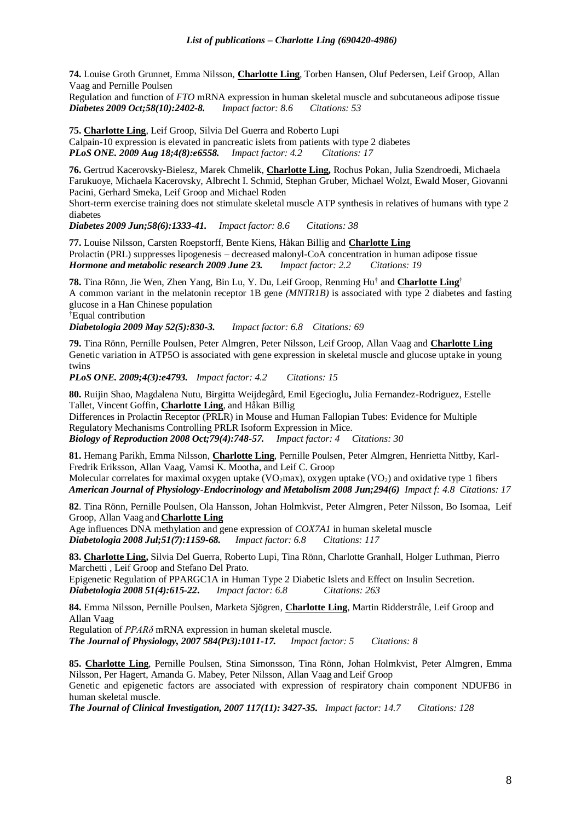**74.** Louise Groth Grunnet, Emma Nilsson, **Charlotte Ling**, Torben Hansen, Oluf Pedersen, Leif Groop, Allan Vaag and Pernille Poulsen

Regulation and function of *FTO* mRNA expression in human skeletal muscle and subcutaneous adipose tissue *Diabetes 2009 Oct;58(10):2402-8. Impact factor: 8.6 Citations: 53*

**75. Charlotte Ling**, Leif Groop, Silvia Del Guerra and Roberto Lupi Calpain-10 expression is elevated in pancreatic islets from patients with type 2 diabetes *PLoS ONE. 2009 Aug 18;4(8):e6558. Impact factor: 4.2 Citations: 17*

**76.** Gertrud Kacerovsky-Bielesz, Marek Chmelik, **Charlotte Ling,** Rochus Pokan, Julia Szendroedi, Michaela Farukuoye, Michaela Kacerovsky, Albrecht I. Schmid, Stephan Gruber, Michael Wolzt, Ewald Moser, Giovanni Pacini, Gerhard Smeka, Leif Groop and Michael Roden

Short-term exercise training does not stimulate skeletal muscle ATP synthesis in relatives of humans with type 2 diabetes

*Diabetes 2009 Jun;58(6):1333-41. Impact factor: 8.6 Citations: 38*

**77.** Louise Nilsson, Carsten Roepstorff, Bente Kiens, Håkan Billig and **Charlotte Ling** Prolactin (PRL) suppresses lipogenesis – decreased malonyl-CoA concentration in human adipose tissue *Hormone and metabolic research 2009 June 23. Impact factor: 2.2 Citations: 19*

**78.** Tina Rönn, Jie Wen, Zhen Yang, Bin Lu, Y. Du, Leif Groop, Renming Hu† and **Charlotte Ling**† A common variant in the melatonin receptor 1B gene *(MNTR1B)* is associated with type 2 diabetes and fasting glucose in a Han Chinese population

†Equal contribution

*Diabetologia 2009 May 52(5):830-3. Impact factor: 6.8 Citations: 69*

**79.** Tina Rönn, Pernille Poulsen, Peter Almgren, Peter Nilsson, Leif Groop, Allan Vaag and **Charlotte Ling** Genetic variation in ATP5O is associated with gene expression in skeletal muscle and glucose uptake in young twins

*PLoS ONE. 2009;4(3):e4793. Impact factor: 4.2 Citations: 15*

**80.** Ruijin Shao, Magdalena Nutu, Birgitta Weijdegård, Emil Egecioglu**,** Julia Fernandez-Rodriguez, Estelle Tallet, Vincent Goffin, **Charlotte Ling**, and Håkan Billig

Differences in Prolactin Receptor (PRLR) in Mouse and Human Fallopian Tubes: Evidence for Multiple Regulatory Mechanisms Controlling PRLR Isoform Expression in Mice. *Biology of Reproduction 2008 Oct;79(4):748-57. Impact factor: 4 Citations: 30*

**81.** Hemang Parikh, Emma Nilsson, **Charlotte Ling**, Pernille Poulsen, Peter Almgren, Henrietta Nittby, Karl-Fredrik Eriksson, Allan Vaag, Vamsi K. Mootha, and Leif C. Groop Molecular correlates for maximal oxygen uptake (VO<sub>2</sub>max), oxygen uptake (VO<sub>2</sub>) and oxidative type 1 fibers

*American Journal of Physiology-Endocrinology and Metabolism 2008 Jun;294(6) Impact f: 4.8 Citations: 17*

**82**. Tina Rönn, Pernille Poulsen, Ola Hansson, Johan Holmkvist, Peter Almgren, Peter Nilsson, Bo Isomaa, Leif Groop, Allan Vaag and **Charlotte Ling**

Age influences DNA methylation and gene expression of *COX7A1* in human skeletal muscle *Diabetologia 2008 Jul;51(7):1159-68. Impact factor: 6.8 Citations: 117*

**83. Charlotte Ling,** Silvia Del Guerra, Roberto Lupi, Tina Rönn, Charlotte Granhall, Holger Luthman, Pierro Marchetti , Leif Groop and Stefano Del Prato.

Epigenetic Regulation of PPARGC1A in Human Type 2 Diabetic Islets and Effect on Insulin Secretion. *Diabetologia 2008 51(4):615-22***.** *Impact factor: 6.8 Citations: 263*

**84.** Emma Nilsson, Pernille Poulsen, Marketa Sjögren, **Charlotte Ling**, Martin Ridderstråle, Leif Groop and Allan Vaag

Regulation of *PPARδ* mRNA expression in human skeletal muscle.

*The Journal of Physiology, 2007 584(Pt3):1011-17. Impact factor: 5 Citations: 8*

**85. Charlotte Ling**, Pernille Poulsen, Stina Simonsson, Tina Rönn, Johan Holmkvist, Peter Almgren, Emma Nilsson, Per Hagert, Amanda G. Mabey, Peter Nilsson, Allan Vaag and Leif Groop

Genetic and epigenetic factors are associated with expression of respiratory chain component NDUFB6 in human skeletal muscle.

*The Journal of Clinical Investigation, 2007 117(11): 3427-35. Impact factor: 14.7 Citations: 128*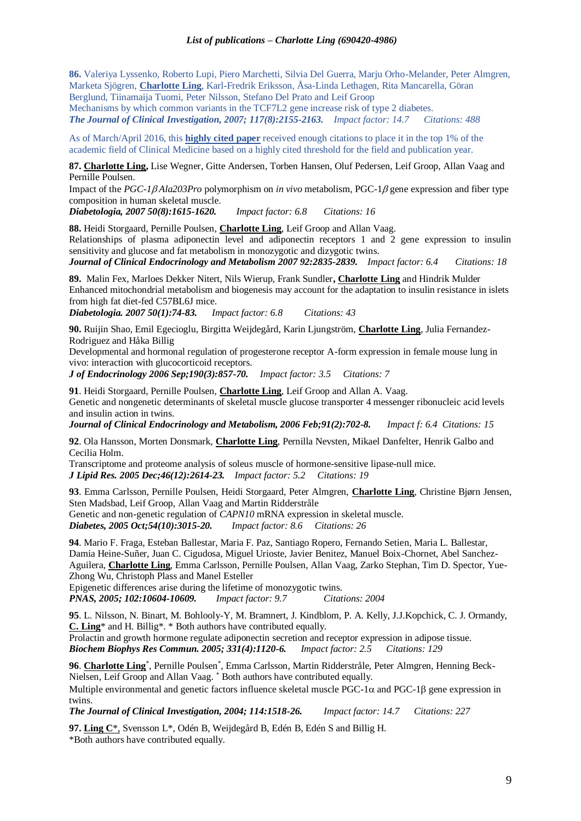**86.** Valeriya Lyssenko, Roberto Lupi, Piero Marchetti, Silvia Del Guerra, Marju Orho-Melander, Peter Almgren, Marketa Sjögren, **Charlotte Ling**, Karl-Fredrik Eriksson, Åsa-Linda Lethagen, Rita Mancarella, Göran Berglund, Tiinamaija Tuomi, Peter Nilsson, Stefano Del Prato and Leif Groop Mechanisms by which common variants in the TCF7L2 gene increase risk of type 2 diabetes.

*The Journal of Clinical Investigation, 2007; 117(8):2155-2163. Impact factor: 14.7 Citations: 488*

As of March/April 2016, this **[highly cited paper](javascript:;)** received enough citations to place it in the top 1% of the academic field of Clinical Medicine based on a highly cited threshold for the field and publication year.

**87. Charlotte Ling,** Lise Wegner, Gitte Andersen, Torben Hansen, Oluf Pedersen, Leif Groop, Allan Vaag and Pernille Poulsen.

Impact of the *PGC-1* $\beta$ *Ala203Pro* polymorphism on *in vivo* metabolism, PGC-1 $\beta$  gene expression and fiber type composition in human skeletal muscle.

*Diabetologia, 2007 50(8):1615-1620. Impact factor: 6.8 Citations: 16*

**88.** Heidi Storgaard, Pernille Poulsen, **Charlotte Ling**, Leif Groop and Allan Vaag. Relationships of plasma adiponectin level and adiponectin receptors 1 and 2 gene expression to insulin sensitivity and glucose and fat metabolism in monozygotic and dizygotic twins. *Journal of Clinical Endocrinology and Metabolism 2007 92:2835-2839. Impact factor: 6.4 Citations: 18*

**89.** Malin Fex, Marloes Dekker Nitert, Nils Wierup, Frank Sundler**, Charlotte Ling** and Hindrik Mulder

Enhanced mitochondrial metabolism and biogenesis may account for the adaptation to insulin resistance in islets from high fat diet-fed C57BL6J mice.

*Diabetologia. 2007 50(1):74-83. Impact factor: 6.8 Citations: 43*

**90.** Ruijin Shao, Emil Egecioglu, Birgitta Weijdegård, Karin Ljungström, **Charlotte Ling**, Julia Fernandez-Rodriguez and Håka Billig

Developmental and hormonal regulation of progesterone receptor A-form expression in female mouse lung in vivo: interaction with glucocorticoid receptors.

*J of Endocrinology 2006 Sep;190(3):857-70. Impact factor: 3.5 Citations: 7*

**91**. Heidi Storgaard, Pernille Poulsen, **Charlotte Ling**, Leif Groop and Allan A. Vaag. Genetic and nongenetic determinants of skeletal muscle glucose transporter 4 messenger ribonucleic acid levels and insulin action in twins.

*Journal of Clinical Endocrinology and Metabolism, 2006 Feb;91(2):702-8. Impact f: 6.4 Citations: 15*

**92**. Ola Hansson, Morten Donsmark, **Charlotte Ling**, Pernilla Nevsten, Mikael Danfelter, Henrik Galbo and Cecilia Holm.

Transcriptome and proteome analysis of soleus muscle of hormone-sensitive lipase-null mice. *J Lipid Res. 2005 Dec;46(12):2614-23. Impact factor: 5.2 Citations: 19*

**93**. Emma Carlsson, Pernille Poulsen, Heidi Storgaard, Peter Almgren, **Charlotte Ling**, Christine Bjørn Jensen, Sten Madsbad, Leif Groop, Allan Vaag and Martin Ridderstråle Genetic and non-genetic regulation of *CAPN10* mRNA expression in skeletal muscle. *Diabetes, 2005 Oct;54(10):3015-20. Impact factor: 8.6 Citations: 26*

**94**. Mario F. Fraga, Esteban Ballestar, Maria F. Paz, Santiago Ropero, Fernando Setien, Maria L. Ballestar, Damia Heine-Suñer, Juan C. Cigudosa, Miguel Urioste, Javier Benitez, Manuel Boix-Chornet, Abel Sanchez-Aguilera, **Charlotte Ling**, Emma Carlsson, Pernille Poulsen, Allan Vaag, Zarko Stephan, Tim D. Spector, Yue-Zhong Wu, Christoph Plass and Manel Esteller

Epigenetic differences arise during the lifetime of monozygotic twins.

*PNAS, 2005; 102:10604-10609. Impact factor: 9.7 Citations: 2004*

**95**. L. Nilsson, N. Binart, M. Bohlooly-Y, M. Bramnert, J. Kindblom, P. A. Kelly, J.J.Kopchick, C. J. Ormandy, **C. Ling**\* and H. Billig\*. \* Both authors have contributed equally.

Prolactin and growth hormone regulate adiponectin secretion and receptor expression in adipose tissue. *Biochem Biophys Res Commun. 2005; 331(4):1120-6. Impact factor: 2.5 Citations: 129*

96. Charlotte Ling<sup>\*</sup>, Pernille Poulsen<sup>\*</sup>, Emma Carlsson, Martin Ridderstråle, Peter Almgren, Henning Beck-Nielsen, Leif Groop and Allan Vaag. \* Both authors have contributed equally. Multiple environmental and genetic factors influence skeletal muscle PGC-1 $\alpha$  and PGC-1 $\beta$  gene expression in twins.

*The Journal of Clinical Investigation, 2004; 114:1518-26. Impact factor: 14.7 Citations: 227*

**97. Ling C**\*, Svensson L\*, Odén B, Weijdegård B, Edén B, Edén S and Billig H. \*Both authors have contributed equally.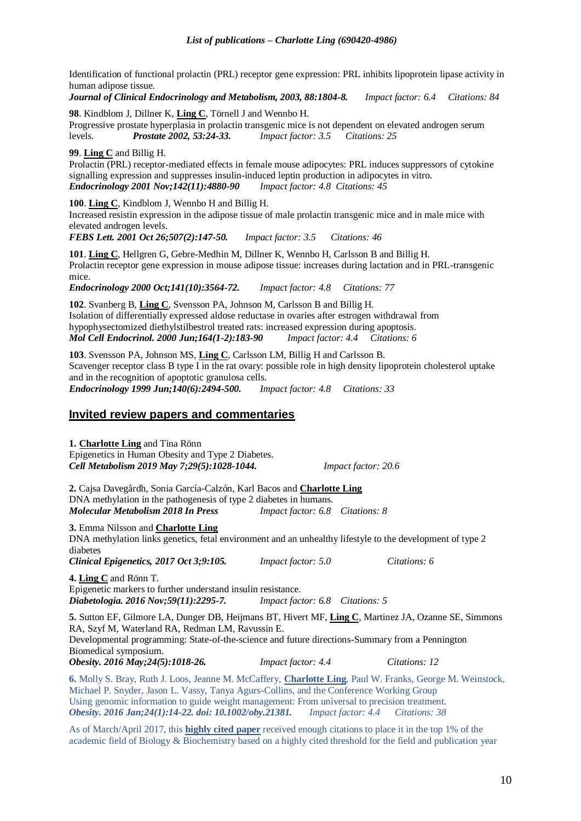Identification of functional prolactin (PRL) receptor gene expression: PRL inhibits lipoprotein lipase activity in human adipose tissue*.* 

*Journal of Clinical Endocrinology and Metabolism, 2003, 88:1804-8. Impact factor: 6.4 Citations: 84*

**98**. Kindblom J, Dillner K, **Ling C**, Törnell J and Wennbo H. Progressive prostate hyperplasia in prolactin transgenic mice is not dependent on elevated androgen serum levels. *Prostate 2002, 53:24-33. Impact factor: 3.5 Citations: 25*

**99**. **Ling C** and Billig H.

Prolactin (PRL) receptor-mediated effects in female mouse adipocytes: PRL induces suppressors of cytokine signalling expression and suppresses insulin-induced leptin production in adipocytes in vitro.<br> **Endocrinology 2001 Nov;142(11):4880-90** Impact factor: 4.8 Citations: 45 *Endocrinology 2001 Nov; 142(11): 4880-90* 

**100**. **Ling C**, Kindblom J, Wennbo H and Billig H.

Increased resistin expression in the adipose tissue of male prolactin transgenic mice and in male mice with elevated androgen levels.

*FEBS Lett. 2001 Oct 26;507(2):147-50. Impact factor: 3.5 Citations: 46*

**101**. **Ling C**, Hellgren G, Gebre-Medhin M, Dillner K, Wennbo H, Carlsson B and Billig H. Prolactin receptor gene expression in mouse adipose tissue: increases during lactation and in PRL-transgenic mice.

*Endocrinology 2000 Oct;141(10):3564-72. Impact factor: 4.8 Citations: 77*

**102**. Svanberg B, **Ling C**, Svensson PA, Johnson M, Carlsson B and Billig H. Isolation of differentially expressed aldose reductase in ovaries after estrogen withdrawal from hypophysectomized diethylstilbestrol treated rats: increased expression during apoptosis. *Mol Cell Endocrinol. 2000 Jun;164(1-2):183-90 Impact factor: 4.4 Citations: 6*

**103**. Svensson PA, Johnson MS, **Ling C**, Carlsson LM, Billig H and Carlsson B. Scavenger receptor class B type I in the rat ovary: possible role in high density lipoprotein cholesterol uptake and in the recognition of apoptotic granulosa cells. *Endocrinology 1999 Jun;140(6):2494-500. Impact factor: 4.8 Citations: 33*

# **Invited review papers and commentaries**

**1. Charlotte Ling** and Tina Rönn [Epigenetics in Human Obesity and Type 2 Diabetes.](https://www.ncbi.nlm.nih.gov/pubmed/30982733) *Cell Metabolism 2019 May 7;29(5):1028-1044. Impact factor: 20.6*

**2.** Cajsa Davegårdh, Sonia García-Calzón, Karl Bacos and **Charlotte Ling** DNA methylation in the pathogenesis of type 2 diabetes in humans. *Molecular Metabolism 2018 In Press Impact factor: 6.8 Citations: 8*

# **3.** Emma Nilsson and **Charlotte Ling**

DNA methylation links genetics, fetal environment and an unhealthy lifestyle to the development of type 2 diabetes *Clinical Epigenetics, 2017 Oct 3;9:105. Impact factor: 5.0 Citations: 6*

**4. Ling C** and Rönn T. [Epigenetic markers to further understand insulin resistance.](https://www.ncbi.nlm.nih.gov/pubmed/27650286)<br> **Diabetologia.** 2016 Nov; 59(11): 2295-7. Impact factor: 6.8 Citations: 5 *Diabetologia. 2016 Nov; 59(11): 2295-7.* 

**5.** [Sutton EF,](http://www.ncbi.nlm.nih.gov/pubmed/?term=Sutton%20EF%5BAuthor%5D&cauthor=true&cauthor_uid=27037645) [Gilmore LA,](http://www.ncbi.nlm.nih.gov/pubmed/?term=Gilmore%20LA%5BAuthor%5D&cauthor=true&cauthor_uid=27037645) [Dunger DB,](http://www.ncbi.nlm.nih.gov/pubmed/?term=Dunger%20DB%5BAuthor%5D&cauthor=true&cauthor_uid=27037645) [Heijmans BT,](http://www.ncbi.nlm.nih.gov/pubmed/?term=Heijmans%20BT%5BAuthor%5D&cauthor=true&cauthor_uid=27037645) [Hivert MF,](http://www.ncbi.nlm.nih.gov/pubmed/?term=Hivert%20MF%5BAuthor%5D&cauthor=true&cauthor_uid=27037645) **[Ling C](http://www.ncbi.nlm.nih.gov/pubmed/?term=Ling%20C%5BAuthor%5D&cauthor=true&cauthor_uid=27037645)**[, Martinez](http://www.ncbi.nlm.nih.gov/pubmed/?term=Martinez%20JA%5BAuthor%5D&cauthor=true&cauthor_uid=27037645) JA[, Ozanne SE,](http://www.ncbi.nlm.nih.gov/pubmed/?term=Ozanne%20SE%5BAuthor%5D&cauthor=true&cauthor_uid=27037645) [Simmons](http://www.ncbi.nlm.nih.gov/pubmed/?term=Simmons%20RA%5BAuthor%5D&cauthor=true&cauthor_uid=27037645) [RA,](http://www.ncbi.nlm.nih.gov/pubmed/?term=Simmons%20RA%5BAuthor%5D&cauthor=true&cauthor_uid=27037645) [Szyf M,](http://www.ncbi.nlm.nih.gov/pubmed/?term=Szyf%20M%5BAuthor%5D&cauthor=true&cauthor_uid=27037645) [Waterland RA,](http://www.ncbi.nlm.nih.gov/pubmed/?term=Waterland%20RA%5BAuthor%5D&cauthor=true&cauthor_uid=27037645) [Redman LM,](http://www.ncbi.nlm.nih.gov/pubmed/?term=Redman%20LM%5BAuthor%5D&cauthor=true&cauthor_uid=27037645) [Ravussin E.](http://www.ncbi.nlm.nih.gov/pubmed/?term=Ravussin%20E%5BAuthor%5D&cauthor=true&cauthor_uid=27037645) Developmental programming: State-of-the-science and future directions-Summary from a Pennington

Biomedical symposium. *[Obesity.](http://www.ncbi.nlm.nih.gov/pubmed/?term=simmons+and+ling+c) 2016 May;24(5):1018-26. Impact factor: 4.4 Citations: 12* 

**6.** Molly S. Bray, Ruth J. Loos, Jeanne M. McCaffery, **Charlotte Ling**, Paul W. Franks, George M. Weinstock, Michael P. Snyder, Jason L. Vassy, Tanya Agurs-Collins, and the Conference Working Group Using genomic information to guide weight management: From universal to precision treatment. *Obesity. 2016 Jan;24(1):14-22. doi: 10.1002/oby.21381. Impact factor: 4.4 Citations: 38*

As of March/April 2017, this **[highly cited paper](javascript:;)** received enough citations to place it in the top 1% of the academic field of Biology & Biochemistry based on a highly cited threshold for the field and publication year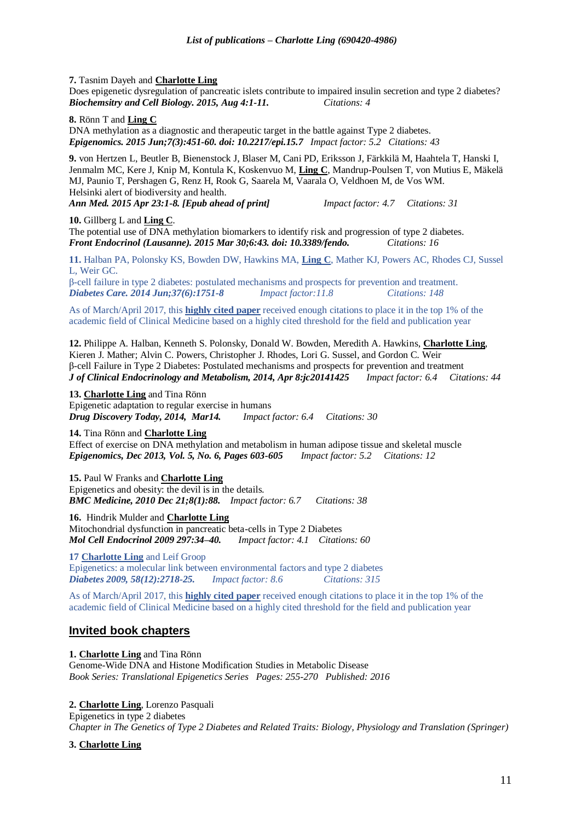#### **7.** Tasnim Dayeh and **Charlotte Ling**

Does epigenetic dysregulation of pancreatic islets contribute to impaired insulin secretion and type 2 diabetes? *Biochemsitry and Cell Biology. 2015, Aug 4:1-11. Citations: 4*

#### **8.** Rönn T and **Ling C**

[DNA methylation as a diagnostic and therapeutic target](http://www.ncbi.nlm.nih.gov/pubmed/26077431) in the battle against Type 2 diabetes. *Epigenomics. 2015 Jun;7(3):451-60. doi: 10.2217/epi.15.7 Impact factor: 5.2 Citations: 43*

**9.** [von Hertzen L,](http://www.ncbi.nlm.nih.gov/pubmed/?term=von%20Hertzen%20L%5BAuthor%5D&cauthor=true&cauthor_uid=25904094) [Beutler B,](http://www.ncbi.nlm.nih.gov/pubmed/?term=Beutler%20B%5BAuthor%5D&cauthor=true&cauthor_uid=25904094) [Bienenstock J,](http://www.ncbi.nlm.nih.gov/pubmed/?term=Bienenstock%20J%5BAuthor%5D&cauthor=true&cauthor_uid=25904094) [Blaser M,](http://www.ncbi.nlm.nih.gov/pubmed/?term=Blaser%20M%5BAuthor%5D&cauthor=true&cauthor_uid=25904094) [Cani PD,](http://www.ncbi.nlm.nih.gov/pubmed/?term=Cani%20PD%5BAuthor%5D&cauthor=true&cauthor_uid=25904094) [Eriksson J,](http://www.ncbi.nlm.nih.gov/pubmed/?term=Eriksson%20J%5BAuthor%5D&cauthor=true&cauthor_uid=25904094) [Färkkilä M,](http://www.ncbi.nlm.nih.gov/pubmed/?term=F%C3%A4rkkil%C3%A4%20M%5BAuthor%5D&cauthor=true&cauthor_uid=25904094) [Haahtela T,](http://www.ncbi.nlm.nih.gov/pubmed/?term=Haahtela%20T%5BAuthor%5D&cauthor=true&cauthor_uid=25904094) [Hanski I,](http://www.ncbi.nlm.nih.gov/pubmed/?term=Hanski%20I%5BAuthor%5D&cauthor=true&cauthor_uid=25904094) [Jenmalm MC,](http://www.ncbi.nlm.nih.gov/pubmed/?term=Jenmalm%20MC%5BAuthor%5D&cauthor=true&cauthor_uid=25904094) [Kere J,](http://www.ncbi.nlm.nih.gov/pubmed/?term=Kere%20J%5BAuthor%5D&cauthor=true&cauthor_uid=25904094) [Knip M,](http://www.ncbi.nlm.nih.gov/pubmed/?term=Knip%20M%5BAuthor%5D&cauthor=true&cauthor_uid=25904094) [Kontula K,](http://www.ncbi.nlm.nih.gov/pubmed/?term=Kontula%20K%5BAuthor%5D&cauthor=true&cauthor_uid=25904094) [Koskenvuo M,](http://www.ncbi.nlm.nih.gov/pubmed/?term=Koskenvuo%20M%5BAuthor%5D&cauthor=true&cauthor_uid=25904094) **[Ling C](http://www.ncbi.nlm.nih.gov/pubmed/?term=Ling%20C%5BAuthor%5D&cauthor=true&cauthor_uid=25904094)**, [Mandrup-Poulsen T,](http://www.ncbi.nlm.nih.gov/pubmed/?term=Mandrup-Poulsen%20T%5BAuthor%5D&cauthor=true&cauthor_uid=25904094) [von Mutius E,](http://www.ncbi.nlm.nih.gov/pubmed/?term=von%20Mutius%20E%5BAuthor%5D&cauthor=true&cauthor_uid=25904094) [Mäkelä](http://www.ncbi.nlm.nih.gov/pubmed/?term=M%C3%A4kel%C3%A4%20MJ%5BAuthor%5D&cauthor=true&cauthor_uid=25904094)  [MJ,](http://www.ncbi.nlm.nih.gov/pubmed/?term=M%C3%A4kel%C3%A4%20MJ%5BAuthor%5D&cauthor=true&cauthor_uid=25904094) [Paunio T,](http://www.ncbi.nlm.nih.gov/pubmed/?term=Paunio%20T%5BAuthor%5D&cauthor=true&cauthor_uid=25904094) [Pershagen G,](http://www.ncbi.nlm.nih.gov/pubmed/?term=Pershagen%20G%5BAuthor%5D&cauthor=true&cauthor_uid=25904094) [Renz H,](http://www.ncbi.nlm.nih.gov/pubmed/?term=Renz%20H%5BAuthor%5D&cauthor=true&cauthor_uid=25904094) [Rook G,](http://www.ncbi.nlm.nih.gov/pubmed/?term=Rook%20G%5BAuthor%5D&cauthor=true&cauthor_uid=25904094) [Saarela M,](http://www.ncbi.nlm.nih.gov/pubmed/?term=Saarela%20M%5BAuthor%5D&cauthor=true&cauthor_uid=25904094) [Vaarala O,](http://www.ncbi.nlm.nih.gov/pubmed/?term=Vaarala%20O%5BAuthor%5D&cauthor=true&cauthor_uid=25904094) [Veldhoen M,](http://www.ncbi.nlm.nih.gov/pubmed/?term=Veldhoen%20M%5BAuthor%5D&cauthor=true&cauthor_uid=25904094) [de Vos WM.](http://www.ncbi.nlm.nih.gov/pubmed/?term=de%20Vos%20WM%5BAuthor%5D&cauthor=true&cauthor_uid=25904094) Helsinki alert of biodiversity and health.

*[Ann Med.](http://www.ncbi.nlm.nih.gov/pubmed/25904094) 2015 Apr 23:1-8. [Epub ahead of print] Impact factor: 4.7 Citations: 31*

#### **10.** Gillberg L and **Ling C**.

[The potential use of DNA methylation biomarkers to identify risk and progression of](http://www.ncbi.nlm.nih.gov/pubmed/25870586) type 2 diabetes. *Front Endocrinol (Lausanne). 2015 Mar 30;6:43. doi: 10.3389/fendo. Citations: 16*

**11.** Halban PA, Polonsky KS, Bowden DW, Hawkins MA, **Ling C**, Mather KJ, Powers AC, Rhodes CJ, Sussel L, Weir GC.

[β-cell failure in type 2 diabetes: postulated mechanisms and prospects for prevention and treatment.](http://www.ncbi.nlm.nih.gov/pubmed/24812433) *Diabetes Care. 2014 Jun;37(6):1751-8 Impact factor:11.8 Citations: 148*

As of March/April 2017, this **[highly cited paper](javascript:;)** received enough citations to place it in the top 1% of the academic field of Clinical Medicine based on a highly cited threshold for the field and publication year

**12.** Philippe A. Halban, Kenneth S. Polonsky, Donald W. Bowden, Meredith A. Hawkins, **Charlotte Ling**, Kieren J. Mather; Alvin C. Powers, Christopher J. Rhodes, Lori G. Sussel, and Gordon C. Weir β-cell Failure in Type 2 Diabetes: Postulated mechanisms and prospects for prevention and treatment *J of Clinical Endocrinology and Metabolism, 2014, Apr 8:jc20141425 Impact factor: 6.4 Citations: 44*

#### **13. Charlotte Ling** and Tina Rönn

Epigenetic adaptation to regular exercise in humans *Drug Discovery Today, 2014, Mar14. Impact factor: 6.4 Citations: 30*

**14.** Tina Rönn and **Charlotte Ling**

Effect of exercise on DNA methylation and metabolism in human adipose tissue and skeletal muscle *[Epigenomics,](http://www.futuremedicine.com/loi/epi) Dec 2013, Vol. 5, No. 6, Pages 603-605 Impact factor: 5.2 Citations: 12*

**15.** Paul W Franks and **Charlotte Ling** Epigenetics and obesity: the devil is in the details. *BMC Medicine, 2010 Dec 21;8(1):88. Impact factor: 6.7 Citations: 38*

**16.** Hindrik Mulder and **Charlotte Ling** Mitochondrial dysfunction in pancreatic beta-cells in Type 2 Diabetes *Mol Cell Endocrinol 2009 297:34–40. Impact factor: 4.1 Citations: 60*

**17 Charlotte Ling** and Leif Groop Epigenetics: a molecular link between environmental factors and type 2 diabetes

*Diabetes 2009, 58(12):2718-25. Impact factor: 8.6 Citations: 315* As of March/April 2017, this **[highly cited paper](javascript:;)** received enough citations to place it in the top 1% of the

academic field of Clinical Medicine based on a highly cited threshold for the field and publication year

# **Invited book chapters**

**1. Charlotte Ling** and Tina Rönn [Genome-Wide DNA and Histone Modification Studies in Metabolic Disease](http://apps.webofknowledge.com/full_record.do?product=WOS&search_mode=GeneralSearch&qid=5&SID=R2IhgtPOY32yzZupYYQ&page=1&doc=3)  *Book Series: Translational Epigenetics Series Pages: 255-270 Published: 2016*

# **2. Charlotte Ling**, Lorenzo Pasquali

Epigenetics in type 2 diabetes *Chapter in The Genetics of Type 2 Diabetes and Related Traits: Biology, Physiology and Translation (Springer)*

# **3. Charlotte Ling**